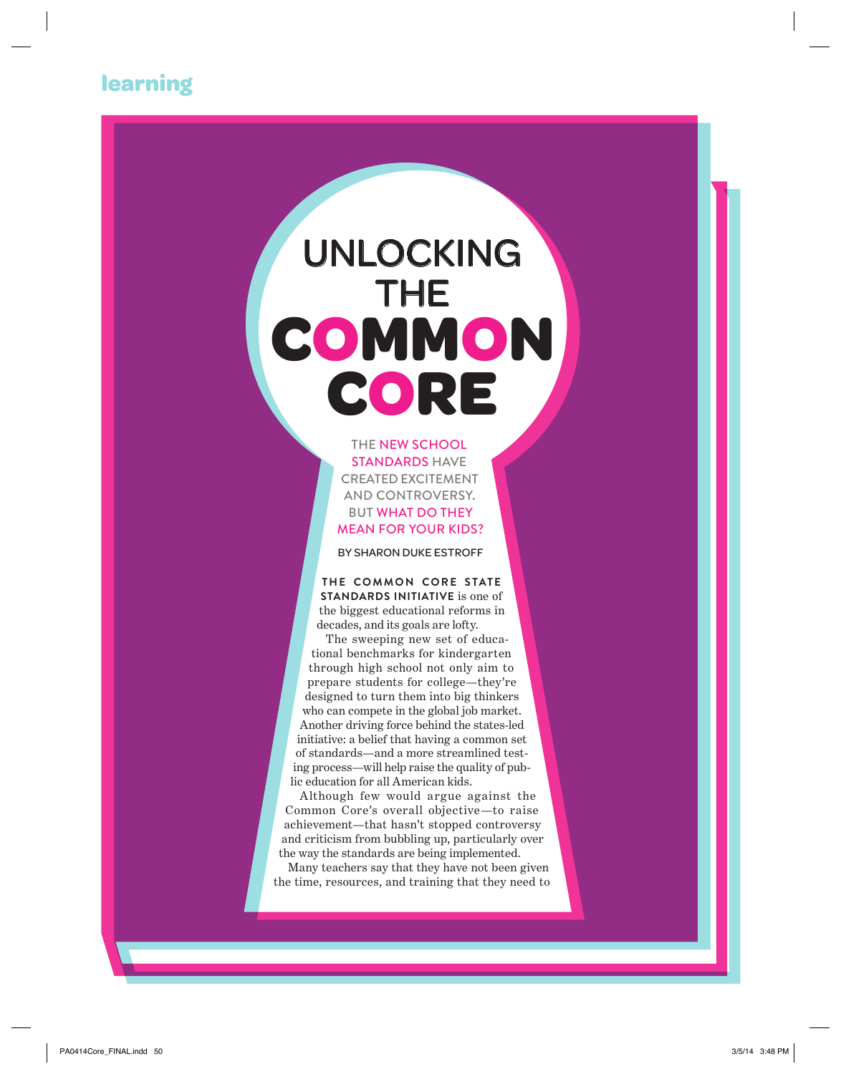## **learning**

# unlocking THE **common core**

the New school standards have created excitement and controversy. But what do they mean for your kids?

By Sharon Duke Estroff

**THE COMMON CORE STATE standards initiative** is one of the biggest educational reforms in decades, and its goals are lofty.

The sweeping new set of educational benchmarks for kindergarten through high school not only aim to prepare students for college—they're designed to turn them into big thinkers who can compete in the global job market. Another driving force behind the states-led initiative: a belief that having a common set of standards—and a more streamlined testing process—will help raise the quality of public education for all American kids.

Although few would argue against the Common Core's overall objective—to raise achievement—that hasn't stopped controversy and criticism from bubbling up, particularly over the way the standards are being implemented.

Many teachers say that they have not been given the time, resources, and training that they need to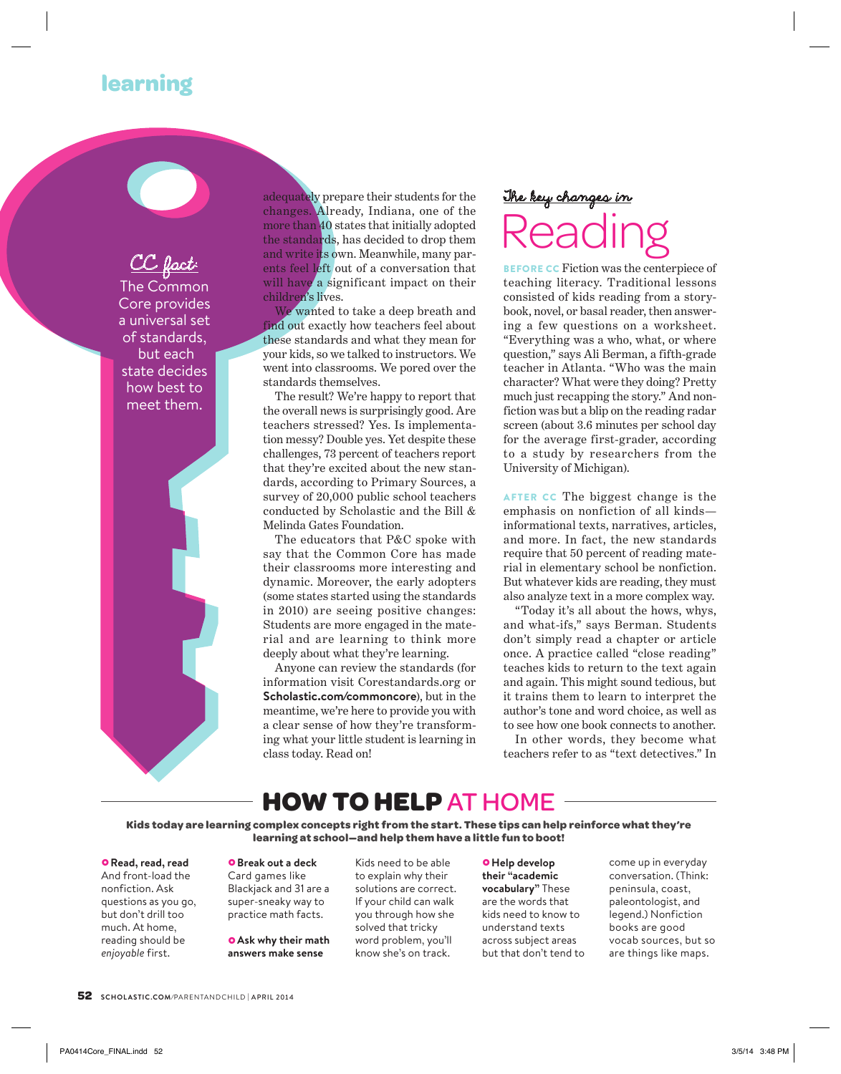### **learning**



adequately prepare their students for the changes. Already, Indiana, one of the more than 40 states that initially adopted the standards, has decided to drop them and write its own. Meanwhile, many parents feel left out of a conversation that will have a significant impact on their children's lives.

We wanted to take a deep breath and find out exactly how teachers feel about these standards and what they mean for your kids, so we talked to instructors. We went into classrooms. We pored over the standards themselves.

The result? We're happy to report that the overall news is surprisingly good. Are teachers stressed? Yes. Is implementation messy? Double yes. Yet despite these challenges, 73 percent of teachers report that they're excited about the new standards, according to Primary Sources, a survey of 20,000 public school teachers conducted by Scholastic and the Bill & Melinda Gates Foundation.

The educators that P&C spoke with say that the Common Core has made their classrooms more interesting and dynamic. Moreover, the early adopters (some states started using the standards in 2010) are seeing positive changes: Students are more engaged in the material and are learning to think more deeply about what they're learning.

Anyone can review the standards (for information visit Corestandards.org or **Scholastic.com/commoncore**), but in the meantime, we're here to provide you with a clear sense of how they're transforming what your little student is learning in class today. Read on!

## The key changes in **Reading**

BEFORE CC Fiction was the centerpiece of teaching literacy. Traditional lessons consisted of kids reading from a storybook, novel, or basal reader, then answering a few questions on a worksheet. "Everything was a who, what, or where question," says Ali Berman, a fifth-grade teacher in Atlanta. "Who was the main character? What were they doing? Pretty much just recapping the story." And nonfiction was but a blip on the reading radar screen (about 3.6 minutes per school day for the average first-grader, according to a study by researchers from the University of Michigan).

AFTER CC The biggest change is the emphasis on nonfiction of all kinds informational texts, narratives, articles, and more. In fact, the new standards require that 50 percent of reading material in elementary school be nonfiction. But whatever kids are reading, they must also analyze text in a more complex way.

"Today it's all about the hows, whys, and what-ifs," says Berman. Students don't simply read a chapter or article once. A practice called "close reading" teaches kids to return to the text again and again. This might sound tedious, but it trains them to learn to interpret the author's tone and word choice, as well as to see how one book connects to another.

In other words, they become what teachers refer to as "text detectives." In

## **how to help** at home

**Kids today are learning complex concepts right from the start. These tips can help reinforce what they're learning at school—and help them have a little fun to boot!** 

#### £**Read, read, read**

And front-load the nonfiction. Ask questions as you go, but don't drill too much. At home, reading should be *enjoyable* first.

#### **o** Break out a deck

Card games like Blackjack and 31 are a super-sneaky way to practice math facts.

**O** Ask why their math **answers make sense** 

Kids need to be able to explain why their solutions are correct. If your child can walk you through how she solved that tricky word problem, you'll know she's on track.

£**Help develop their "academic vocabulary"** These are the words that kids need to know to understand texts across subject areas but that don't tend to come up in everyday conversation. (Think: peninsula, coast, paleontologist, and legend.) Nonfiction books are good vocab sources, but so are things like maps.

**52 scholastic.com/parentandchild | april 2014**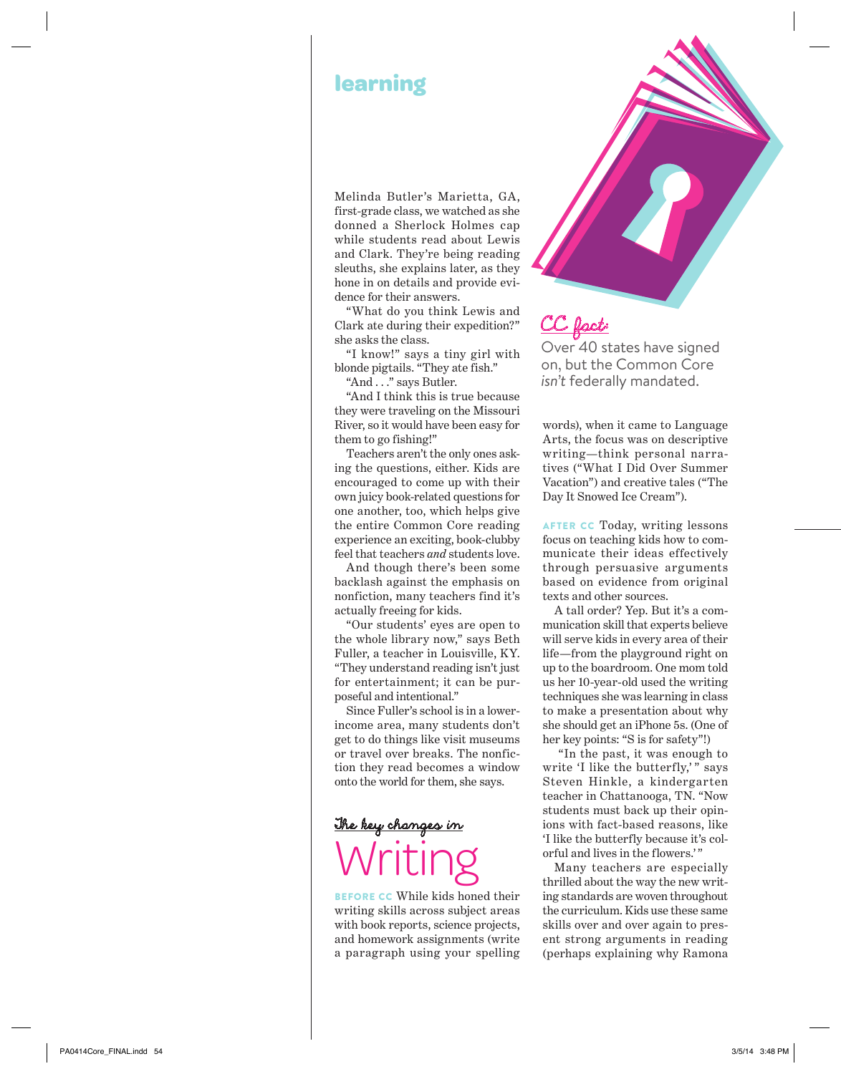## **learning**

Melinda Butler's Marietta, GA, first-grade class, we watched as she donned a Sherlock Holmes cap while students read about Lewis and Clark. They're being reading sleuths, she explains later, as they hone in on details and provide evidence for their answers.

"What do you think Lewis and Clark ate during their expedition?" she asks the class.

"I know!" says a tiny girl with blonde pigtails. "They ate fish."

"And . . ." says Butler.

"And I think this is true because they were traveling on the Missouri River, so it would have been easy for them to go fishing!"

Teachers aren't the only ones asking the questions, either. Kids are encouraged to come up with their own juicy book-related questions for one another, too, which helps give the entire Common Core reading experience an exciting, book-clubby feel that teachers *and* students love.

And though there's been some backlash against the emphasis on nonfiction, many teachers find it's actually freeing for kids.

"Our students' eyes are open to the whole library now," says Beth Fuller, a teacher in Louisville, KY. "They understand reading isn't just for entertainment; it can be purposeful and intentional."

Since Fuller's school is in a lowerincome area, many students don't get to do things like visit museums or travel over breaks. The nonfiction they read becomes a window onto the world for them, she says.

## The key changes in Writing

Before CC While kids honed their writing skills across subject areas with book reports, science projects, and homework assignments (write a paragraph using your spelling CC fact: Over 40 states have signed on, but the Common Core *isn't* federally mandated.

words), when it came to Language Arts, the focus was on descriptive writing—think personal narratives ("What I Did Over Summer Vacation") and creative tales ("The Day It Snowed Ice Cream").

AFTER CC Today, writing lessons focus on teaching kids how to communicate their ideas effectively through persuasive arguments based on evidence from original texts and other sources.

A tall order? Yep. But it's a communication skill that experts believe will serve kids in every area of their life—from the playground right on up to the boardroom. One mom told us her 10-year-old used the writing techniques she was learning in class to make a presentation about why she should get an iPhone 5s. (One of her key points: "S is for safety"!)

 "In the past, it was enough to write 'I like the butterfly,'" says Steven Hinkle, a kindergarten teacher in Chattanooga, TN. "Now students must back up their opinions with fact-based reasons, like 'I like the butterfly because it's colorful and lives in the flowers.'"

Many teachers are especially thrilled about the way the new writing standards are woven throughout the curriculum. Kids use these same skills over and over again to present strong arguments in reading (perhaps explaining why Ramona